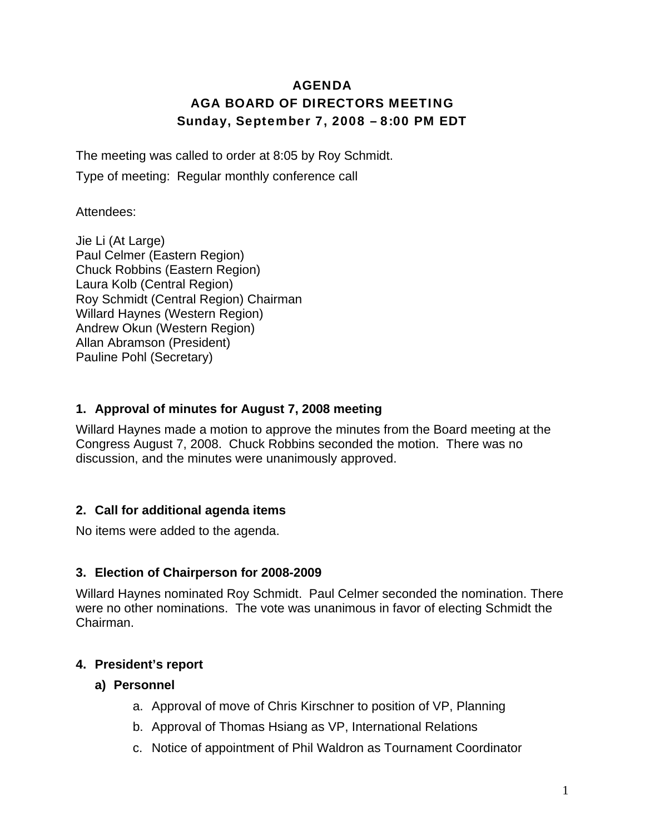## AGENDA AGA BOARD OF DIRECTORS MEETING Sunday, September 7, 2008 – 8:00 PM EDT

The meeting was called to order at 8:05 by Roy Schmidt.

Type of meeting: Regular monthly conference call

Attendees:

Jie Li (At Large) Paul Celmer (Eastern Region) Chuck Robbins (Eastern Region) Laura Kolb (Central Region) Roy Schmidt (Central Region) Chairman Willard Haynes (Western Region) Andrew Okun (Western Region) Allan Abramson (President) Pauline Pohl (Secretary)

### **1. Approval of minutes for August 7, 2008 meeting**

Willard Haynes made a motion to approve the minutes from the Board meeting at the Congress August 7, 2008. Chuck Robbins seconded the motion. There was no discussion, and the minutes were unanimously approved.

## **2. Call for additional agenda items**

No items were added to the agenda.

### **3. Election of Chairperson for 2008-2009**

Willard Haynes nominated Roy Schmidt. Paul Celmer seconded the nomination. There were no other nominations. The vote was unanimous in favor of electing Schmidt the Chairman.

## **4. President's report**

### **a) Personnel**

- a. Approval of move of Chris Kirschner to position of VP, Planning
- b. Approval of Thomas Hsiang as VP, International Relations
- c. Notice of appointment of Phil Waldron as Tournament Coordinator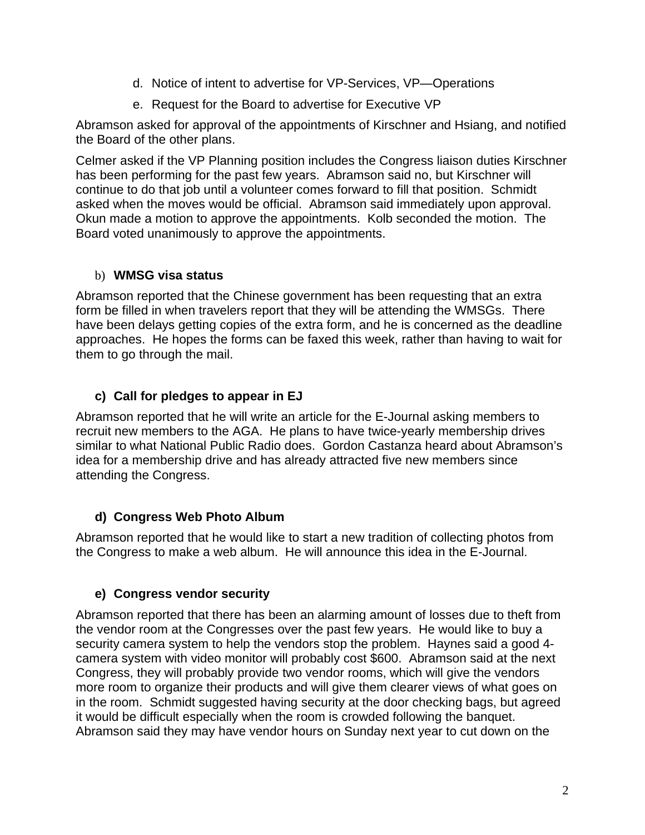- d. Notice of intent to advertise for VP-Services, VP—Operations
- e. Request for the Board to advertise for Executive VP

Abramson asked for approval of the appointments of Kirschner and Hsiang, and notified the Board of the other plans.

Celmer asked if the VP Planning position includes the Congress liaison duties Kirschner has been performing for the past few years. Abramson said no, but Kirschner will continue to do that job until a volunteer comes forward to fill that position. Schmidt asked when the moves would be official. Abramson said immediately upon approval. Okun made a motion to approve the appointments. Kolb seconded the motion. The Board voted unanimously to approve the appointments.

### b) **WMSG visa status**

Abramson reported that the Chinese government has been requesting that an extra form be filled in when travelers report that they will be attending the WMSGs. There have been delays getting copies of the extra form, and he is concerned as the deadline approaches. He hopes the forms can be faxed this week, rather than having to wait for them to go through the mail.

## **c) Call for pledges to appear in EJ**

Abramson reported that he will write an article for the E-Journal asking members to recruit new members to the AGA. He plans to have twice-yearly membership drives similar to what National Public Radio does. Gordon Castanza heard about Abramson's idea for a membership drive and has already attracted five new members since attending the Congress.

## **d) Congress Web Photo Album**

Abramson reported that he would like to start a new tradition of collecting photos from the Congress to make a web album. He will announce this idea in the E-Journal.

## **e) Congress vendor security**

Abramson reported that there has been an alarming amount of losses due to theft from the vendor room at the Congresses over the past few years. He would like to buy a security camera system to help the vendors stop the problem. Haynes said a good 4 camera system with video monitor will probably cost \$600. Abramson said at the next Congress, they will probably provide two vendor rooms, which will give the vendors more room to organize their products and will give them clearer views of what goes on in the room. Schmidt suggested having security at the door checking bags, but agreed it would be difficult especially when the room is crowded following the banquet. Abramson said they may have vendor hours on Sunday next year to cut down on the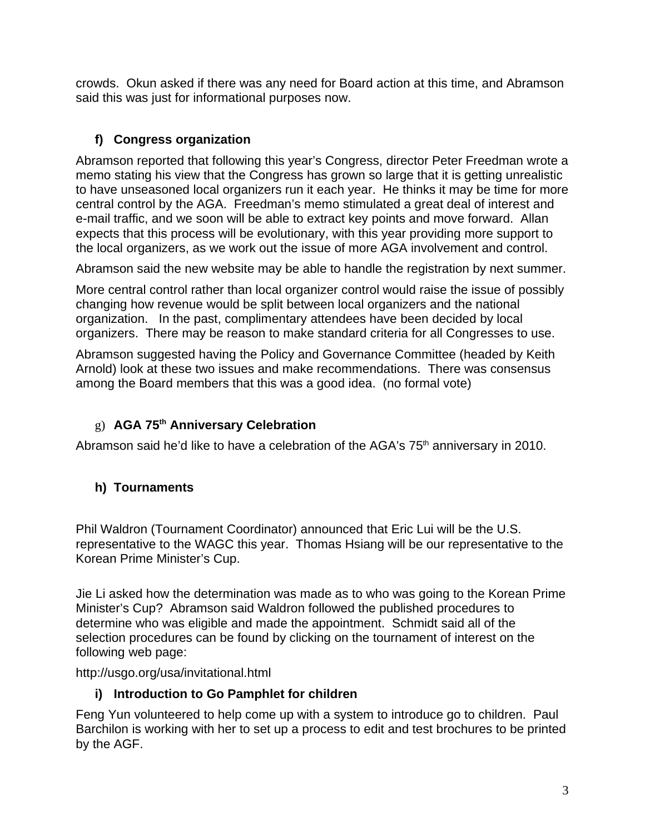crowds. Okun asked if there was any need for Board action at this time, and Abramson said this was just for informational purposes now.

# **f) Congress organization**

Abramson reported that following this year's Congress, director Peter Freedman wrote a memo stating his view that the Congress has grown so large that it is getting unrealistic to have unseasoned local organizers run it each year. He thinks it may be time for more central control by the AGA. Freedman's memo stimulated a great deal of interest and e-mail traffic, and we soon will be able to extract key points and move forward. Allan expects that this process will be evolutionary, with this year providing more support to the local organizers, as we work out the issue of more AGA involvement and control.

Abramson said the new website may be able to handle the registration by next summer.

More central control rather than local organizer control would raise the issue of possibly changing how revenue would be split between local organizers and the national organization. In the past, complimentary attendees have been decided by local organizers. There may be reason to make standard criteria for all Congresses to use.

Abramson suggested having the Policy and Governance Committee (headed by Keith Arnold) look at these two issues and make recommendations. There was consensus among the Board members that this was a good idea. (no formal vote)

# g) **AGA 75th Anniversary Celebration**

Abramson said he'd like to have a celebration of the AGA's  $75<sup>th</sup>$  anniversary in 2010.

## **h) Tournaments**

Phil Waldron (Tournament Coordinator) announced that Eric Lui will be the U.S. representative to the WAGC this year. Thomas Hsiang will be our representative to the Korean Prime Minister's Cup.

Jie Li asked how the determination was made as to who was going to the Korean Prime Minister's Cup? Abramson said Waldron followed the published procedures to determine who was eligible and made the appointment. Schmidt said all of the selection procedures can be found by clicking on the tournament of interest on the following web page:

http://usgo.org/usa/invitational.html

## **i) Introduction to Go Pamphlet for children**

Feng Yun volunteered to help come up with a system to introduce go to children. Paul Barchilon is working with her to set up a process to edit and test brochures to be printed by the AGF.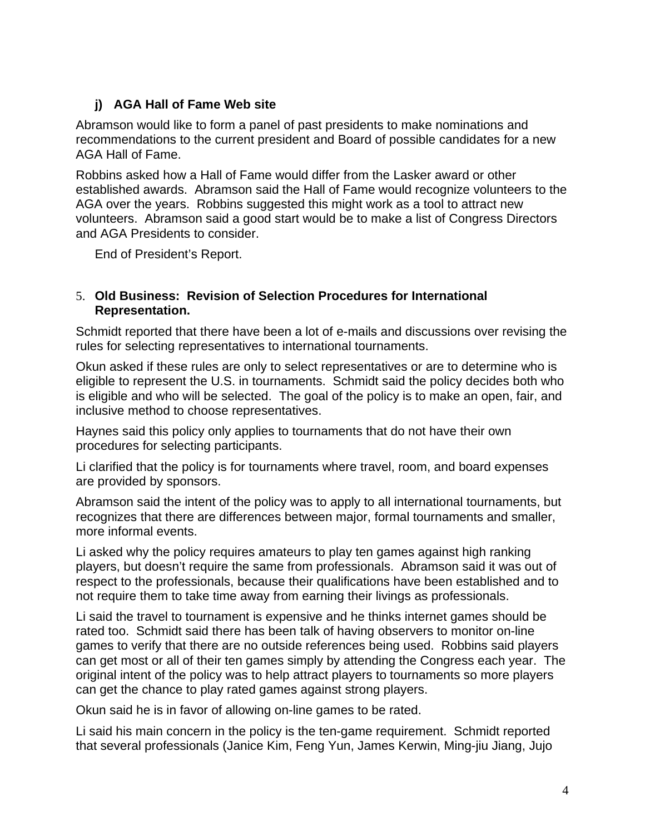## **j) AGA Hall of Fame Web site**

Abramson would like to form a panel of past presidents to make nominations and recommendations to the current president and Board of possible candidates for a new AGA Hall of Fame.

Robbins asked how a Hall of Fame would differ from the Lasker award or other established awards. Abramson said the Hall of Fame would recognize volunteers to the AGA over the years. Robbins suggested this might work as a tool to attract new volunteers. Abramson said a good start would be to make a list of Congress Directors and AGA Presidents to consider.

End of President's Report.

#### 5. **Old Business: Revision of Selection Procedures for International Representation.**

Schmidt reported that there have been a lot of e-mails and discussions over revising the rules for selecting representatives to international tournaments.

Okun asked if these rules are only to select representatives or are to determine who is eligible to represent the U.S. in tournaments. Schmidt said the policy decides both who is eligible and who will be selected. The goal of the policy is to make an open, fair, and inclusive method to choose representatives.

Haynes said this policy only applies to tournaments that do not have their own procedures for selecting participants.

Li clarified that the policy is for tournaments where travel, room, and board expenses are provided by sponsors.

Abramson said the intent of the policy was to apply to all international tournaments, but recognizes that there are differences between major, formal tournaments and smaller, more informal events.

Li asked why the policy requires amateurs to play ten games against high ranking players, but doesn't require the same from professionals. Abramson said it was out of respect to the professionals, because their qualifications have been established and to not require them to take time away from earning their livings as professionals.

Li said the travel to tournament is expensive and he thinks internet games should be rated too. Schmidt said there has been talk of having observers to monitor on-line games to verify that there are no outside references being used. Robbins said players can get most or all of their ten games simply by attending the Congress each year. The original intent of the policy was to help attract players to tournaments so more players can get the chance to play rated games against strong players.

Okun said he is in favor of allowing on-line games to be rated.

Li said his main concern in the policy is the ten-game requirement. Schmidt reported that several professionals (Janice Kim, Feng Yun, James Kerwin, Ming-jiu Jiang, Jujo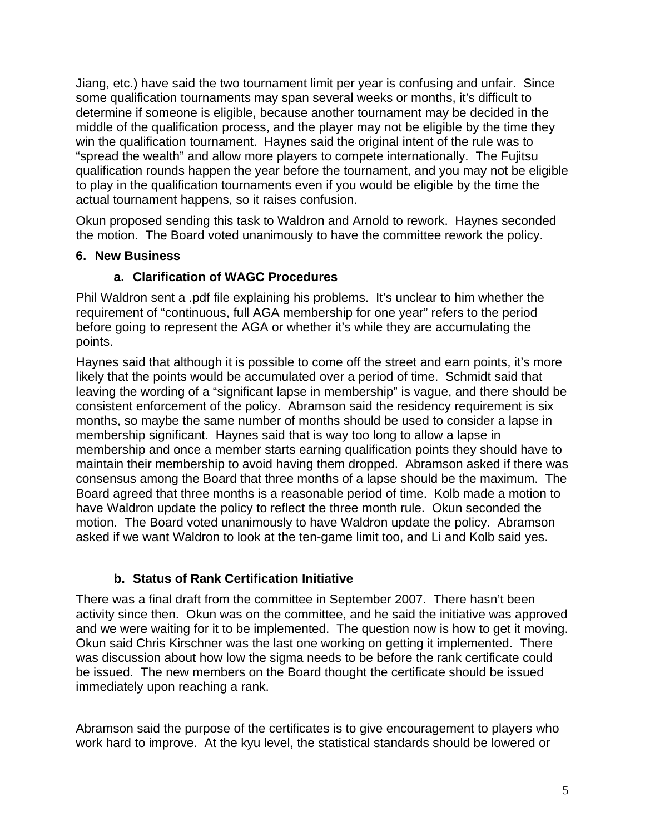Jiang, etc.) have said the two tournament limit per year is confusing and unfair. Since some qualification tournaments may span several weeks or months, it's difficult to determine if someone is eligible, because another tournament may be decided in the middle of the qualification process, and the player may not be eligible by the time they win the qualification tournament. Haynes said the original intent of the rule was to "spread the wealth" and allow more players to compete internationally. The Fujitsu qualification rounds happen the year before the tournament, and you may not be eligible to play in the qualification tournaments even if you would be eligible by the time the actual tournament happens, so it raises confusion.

Okun proposed sending this task to Waldron and Arnold to rework. Haynes seconded the motion. The Board voted unanimously to have the committee rework the policy.

### **6. New Business**

### **a. Clarification of WAGC Procedures**

Phil Waldron sent a .pdf file explaining his problems. It's unclear to him whether the requirement of "continuous, full AGA membership for one year" refers to the period before going to represent the AGA or whether it's while they are accumulating the points.

Haynes said that although it is possible to come off the street and earn points, it's more likely that the points would be accumulated over a period of time. Schmidt said that leaving the wording of a "significant lapse in membership" is vague, and there should be consistent enforcement of the policy. Abramson said the residency requirement is six months, so maybe the same number of months should be used to consider a lapse in membership significant. Haynes said that is way too long to allow a lapse in membership and once a member starts earning qualification points they should have to maintain their membership to avoid having them dropped. Abramson asked if there was consensus among the Board that three months of a lapse should be the maximum. The Board agreed that three months is a reasonable period of time. Kolb made a motion to have Waldron update the policy to reflect the three month rule. Okun seconded the motion. The Board voted unanimously to have Waldron update the policy. Abramson asked if we want Waldron to look at the ten-game limit too, and Li and Kolb said yes.

## **b. Status of Rank Certification Initiative**

There was a final draft from the committee in September 2007. There hasn't been activity since then. Okun was on the committee, and he said the initiative was approved and we were waiting for it to be implemented. The question now is how to get it moving. Okun said Chris Kirschner was the last one working on getting it implemented. There was discussion about how low the sigma needs to be before the rank certificate could be issued. The new members on the Board thought the certificate should be issued immediately upon reaching a rank.

Abramson said the purpose of the certificates is to give encouragement to players who work hard to improve. At the kyu level, the statistical standards should be lowered or